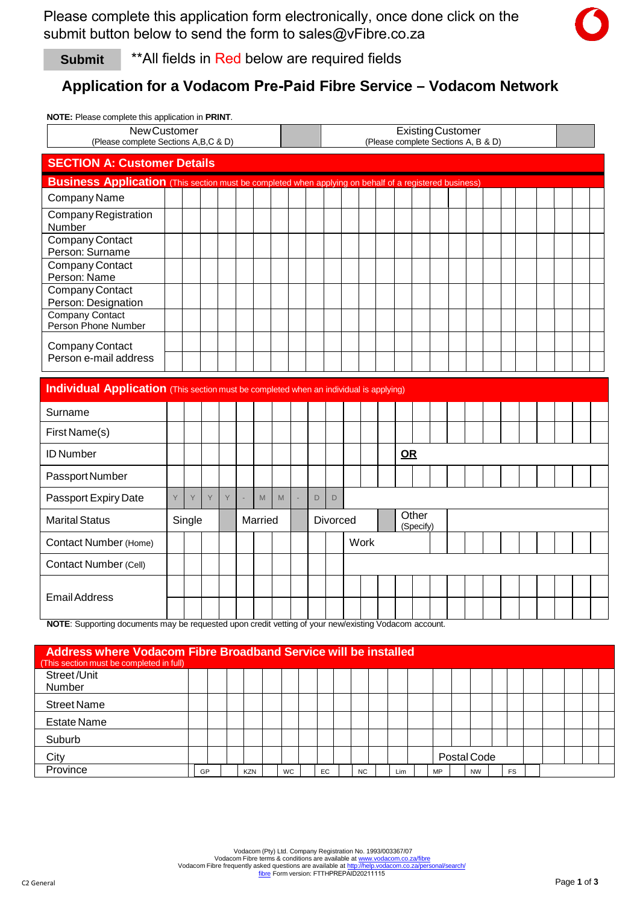Please complete this application form electronically, once done click on the submit button below to send the form to sales@vFibre.co.za



**Submit** \*\*All fields in Red below are required fields

## **Application for a Vodacom Pre-Paid Fibre Service – Vodacom Network**

| <b>NOTE:</b> Please complete this application in <b>PRINT</b> .                                               |   |        |   |   |         |   |   |                                                          |  |      |    |                    |  |  |  |  |  |  |  |  |  |  |  |
|---------------------------------------------------------------------------------------------------------------|---|--------|---|---|---------|---|---|----------------------------------------------------------|--|------|----|--------------------|--|--|--|--|--|--|--|--|--|--|--|
| New Customer                                                                                                  |   |        |   |   |         |   |   | Existing Customer<br>(Please complete Sections A, B & D) |  |      |    |                    |  |  |  |  |  |  |  |  |  |  |  |
| (Please complete Sections A, B, C & D)                                                                        |   |        |   |   |         |   |   |                                                          |  |      |    |                    |  |  |  |  |  |  |  |  |  |  |  |
| <b>SECTION A: Customer Details</b>                                                                            |   |        |   |   |         |   |   |                                                          |  |      |    |                    |  |  |  |  |  |  |  |  |  |  |  |
| <b>Business Application</b> (This section must be completed when applying on behalf of a registered business) |   |        |   |   |         |   |   |                                                          |  |      |    |                    |  |  |  |  |  |  |  |  |  |  |  |
| Company Name                                                                                                  |   |        |   |   |         |   |   |                                                          |  |      |    |                    |  |  |  |  |  |  |  |  |  |  |  |
| <b>Company Registration</b><br>Number                                                                         |   |        |   |   |         |   |   |                                                          |  |      |    |                    |  |  |  |  |  |  |  |  |  |  |  |
| <b>Company Contact</b>                                                                                        |   |        |   |   |         |   |   |                                                          |  |      |    |                    |  |  |  |  |  |  |  |  |  |  |  |
| Person: Surname<br>Company Contact                                                                            |   |        |   |   |         |   |   |                                                          |  |      |    |                    |  |  |  |  |  |  |  |  |  |  |  |
| Person: Name                                                                                                  |   |        |   |   |         |   |   |                                                          |  |      |    |                    |  |  |  |  |  |  |  |  |  |  |  |
| Company Contact<br>Person: Designation                                                                        |   |        |   |   |         |   |   |                                                          |  |      |    |                    |  |  |  |  |  |  |  |  |  |  |  |
| <b>Company Contact</b><br>Person Phone Number                                                                 |   |        |   |   |         |   |   |                                                          |  |      |    |                    |  |  |  |  |  |  |  |  |  |  |  |
| Company Contact                                                                                               |   |        |   |   |         |   |   |                                                          |  |      |    |                    |  |  |  |  |  |  |  |  |  |  |  |
| Person e-mail address                                                                                         |   |        |   |   |         |   |   |                                                          |  |      |    |                    |  |  |  |  |  |  |  |  |  |  |  |
|                                                                                                               |   |        |   |   |         |   |   |                                                          |  |      |    |                    |  |  |  |  |  |  |  |  |  |  |  |
| Individual Application (This section must be completed when an individual is applying)                        |   |        |   |   |         |   |   |                                                          |  |      |    |                    |  |  |  |  |  |  |  |  |  |  |  |
| Surname                                                                                                       |   |        |   |   |         |   |   |                                                          |  |      |    |                    |  |  |  |  |  |  |  |  |  |  |  |
| First Name(s)                                                                                                 |   |        |   |   |         |   |   |                                                          |  |      |    |                    |  |  |  |  |  |  |  |  |  |  |  |
| <b>ID Number</b>                                                                                              |   |        |   |   |         |   |   |                                                          |  |      | QR |                    |  |  |  |  |  |  |  |  |  |  |  |
| Passport Number                                                                                               |   |        |   |   |         |   |   |                                                          |  |      |    |                    |  |  |  |  |  |  |  |  |  |  |  |
| Passport Expiry Date                                                                                          | Y | Y      | Y | Y | M       | M | D | $\mathsf D$                                              |  |      |    |                    |  |  |  |  |  |  |  |  |  |  |  |
| <b>Marital Status</b>                                                                                         |   | Single |   |   | Married |   |   | <b>Divorced</b>                                          |  |      |    | Other<br>(Specify) |  |  |  |  |  |  |  |  |  |  |  |
| <b>Contact Number (Home)</b>                                                                                  |   |        |   |   |         |   |   |                                                          |  | Work |    |                    |  |  |  |  |  |  |  |  |  |  |  |
| Contact Number (Cell)                                                                                         |   |        |   |   |         |   |   |                                                          |  |      |    |                    |  |  |  |  |  |  |  |  |  |  |  |
|                                                                                                               |   |        |   |   |         |   |   |                                                          |  |      |    |                    |  |  |  |  |  |  |  |  |  |  |  |
| <b>Email Address</b>                                                                                          |   |        |   |   |         |   |   |                                                          |  |      |    |                    |  |  |  |  |  |  |  |  |  |  |  |
| NOTE: Supporting documents may be requested upon credit vetting of your new/existing Vodacom account.         |   |        |   |   |         |   |   |                                                          |  |      |    |                    |  |  |  |  |  |  |  |  |  |  |  |
| Address where Vodacom Fibre Broadband Service will be installed                                               |   |        |   |   |         |   |   |                                                          |  |      |    |                    |  |  |  |  |  |  |  |  |  |  |  |
| (This section must be completed in full)                                                                      |   |        |   |   |         |   |   |                                                          |  |      |    |                    |  |  |  |  |  |  |  |  |  |  |  |
| Street/Unit<br>Number                                                                                         |   |        |   |   |         |   |   |                                                          |  |      |    |                    |  |  |  |  |  |  |  |  |  |  |  |
| <b>Street Name</b>                                                                                            |   |        |   |   |         |   |   |                                                          |  |      |    |                    |  |  |  |  |  |  |  |  |  |  |  |
| <b>Estate Name</b>                                                                                            |   |        |   |   |         |   |   |                                                          |  |      |    |                    |  |  |  |  |  |  |  |  |  |  |  |
| Suburb                                                                                                        |   |        |   |   |         |   |   |                                                          |  |      |    |                    |  |  |  |  |  |  |  |  |  |  |  |

Vodacom (Pty) Ltd. Company Registration No. 1993/003367/07 Vodacom Fibre terms & conditions are available at [www.vodacom.co.za/fibre](http://www.vodacom.co.za/fibre)

 City Postal Code Province  $\vert\vert$  GP  $\vert$   $\vert$  kzn  $\vert$   $\vert$  wc  $\vert$   $\vert$  Ec  $\vert$   $\vert$  Lim  $\vert$   $\vert$  MP  $\vert$   $\vert$  NW  $\vert$   $\vert$  Fs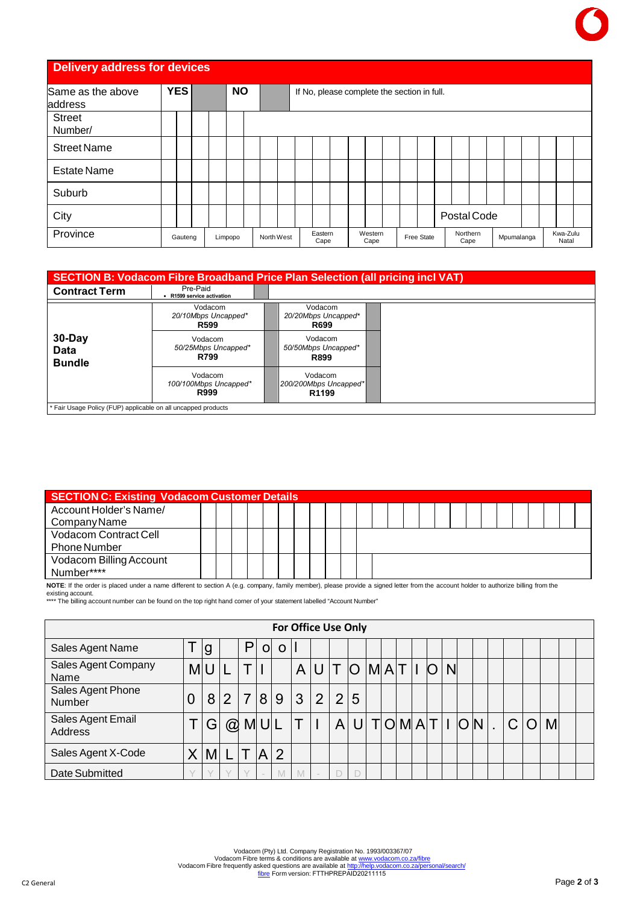| <b>Delivery address for devices</b> |            |  |           |  |  |            |  |  |                 |  |  |                                             |  |  |            |             |  |                  |  |  |            |  |  |                   |
|-------------------------------------|------------|--|-----------|--|--|------------|--|--|-----------------|--|--|---------------------------------------------|--|--|------------|-------------|--|------------------|--|--|------------|--|--|-------------------|
| Same as the above<br>address        | <b>YES</b> |  | <b>NO</b> |  |  |            |  |  |                 |  |  | If No, please complete the section in full. |  |  |            |             |  |                  |  |  |            |  |  |                   |
| Street<br>Number/                   |            |  |           |  |  |            |  |  |                 |  |  |                                             |  |  |            |             |  |                  |  |  |            |  |  |                   |
| <b>Street Name</b>                  |            |  |           |  |  |            |  |  |                 |  |  |                                             |  |  |            |             |  |                  |  |  |            |  |  |                   |
| <b>Estate Name</b>                  |            |  |           |  |  |            |  |  |                 |  |  |                                             |  |  |            |             |  |                  |  |  |            |  |  |                   |
| Suburb                              |            |  |           |  |  |            |  |  |                 |  |  |                                             |  |  |            |             |  |                  |  |  |            |  |  |                   |
| City                                |            |  |           |  |  |            |  |  |                 |  |  |                                             |  |  |            | Postal Code |  |                  |  |  |            |  |  |                   |
| Province                            | Gauteng    |  | Limpopo   |  |  | North West |  |  | Eastern<br>Cape |  |  | Western<br>Cape                             |  |  | Free State |             |  | Northern<br>Cape |  |  | Mpumalanga |  |  | Kwa-Zulu<br>Natal |

|                                                               | <b>SECTION B: Vodacom Fibre Broadband Price Plan Selection (all pricing incl VAT)</b> |                                                       |  |
|---------------------------------------------------------------|---------------------------------------------------------------------------------------|-------------------------------------------------------|--|
| <b>Contract Term</b>                                          | Pre-Paid<br>• R1599 service activation                                                |                                                       |  |
|                                                               | Vodacom<br>20/10Mbps Uncapped*<br>R599                                                | Vodacom<br>20/20Mbps Uncapped*<br>R699                |  |
| 30-Day<br>Data<br><b>Bundle</b>                               | Vodacom<br>50/25Mbps Uncapped*<br>R799                                                | Vodacom<br>50/50Mbps Uncapped*<br>R899                |  |
|                                                               | Vodacom<br>100/100Mbps Uncapped*<br>R999                                              | Vodacom<br>200/200Mbps Uncapped*<br>R <sub>1199</sub> |  |
| * Fair Usage Policy (FUP) applicable on all uncapped products |                                                                                       |                                                       |  |

| SECTION C: Existing Vodacom Customer Details |  |  |  |  |  |  |  |  |  |  |  |  |  |
|----------------------------------------------|--|--|--|--|--|--|--|--|--|--|--|--|--|
| Account Holder's Name/                       |  |  |  |  |  |  |  |  |  |  |  |  |  |
| Company Name                                 |  |  |  |  |  |  |  |  |  |  |  |  |  |
| <b>Vodacom Contract Cell</b>                 |  |  |  |  |  |  |  |  |  |  |  |  |  |
| <b>Phone Number</b>                          |  |  |  |  |  |  |  |  |  |  |  |  |  |
| Vodacom Billing Account                      |  |  |  |  |  |  |  |  |  |  |  |  |  |
| Number****                                   |  |  |  |  |  |  |  |  |  |  |  |  |  |

**NOTE**: If the order is placed under a name different to section A (e.g. company, family member), please provide a signed letter from the account holder to authorize billing from the

existing account. \*\*\*\* The billing account number can be found on the top right hand corner of your statement labelled "Account Number"

| <b>For Office Use Only</b>         |           |                |                |                |                |                |   |                |                 |                     |  |  |  |   |   |  |   |                |   |  |
|------------------------------------|-----------|----------------|----------------|----------------|----------------|----------------|---|----------------|-----------------|---------------------|--|--|--|---|---|--|---|----------------|---|--|
| Sales Agent Name                   |           | <b>g</b>       |                |                | $\overline{O}$ | $\Omega$       |   |                |                 |                     |  |  |  |   |   |  |   |                |   |  |
| Sales Agent Company<br>Name        | <b>MU</b> |                |                |                |                |                |   |                | A U T O M A T I |                     |  |  |  | O | N |  |   |                |   |  |
| Sales Agent Phone<br><b>Number</b> |           | 8              | $\overline{2}$ | $\overline{7}$ | 18 I           | 9              | 3 | $\overline{2}$ | $\overline{2}$  | 5                   |  |  |  |   |   |  |   |                |   |  |
| Sales Agent Email<br>Address       |           | $\overline{G}$ | @              | $M$ U $L$      |                |                |   |                | A               | U T O M A T I O N . |  |  |  |   |   |  | C | $\overline{O}$ | M |  |
| Sales Agent X-Code                 |           | M              |                |                | $\mathsf{A}$   | $\overline{2}$ |   |                |                 |                     |  |  |  |   |   |  |   |                |   |  |
| Date Submitted                     |           |                |                | $\sqrt{}$      |                | M              | M |                |                 |                     |  |  |  |   |   |  |   |                |   |  |

Vodacom (Pty) Ltd. Company Registration No. 1993/003367/07<br>Vodacom Fibre terms & conditions are available at <u>[www.vodacom.co.za/fibre](http://www.vodacom.co.za/fibre)</u><br>for version: FTTHPREPAID20211115<br><u>fibre</u> Form version: FTTHPREPAID20211115<br>Page **2** of